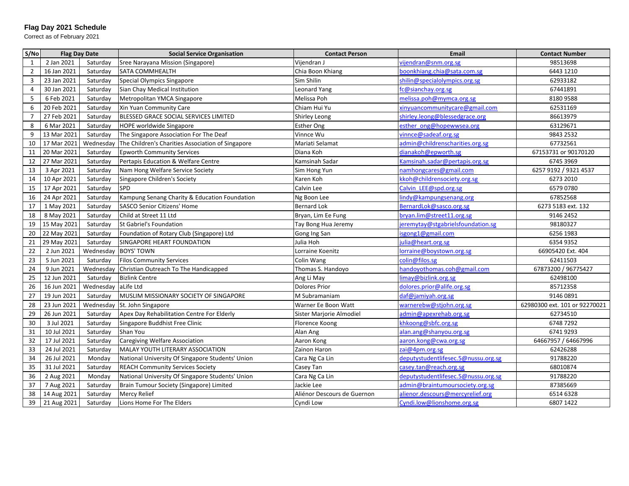## **Flag Day 2021 Schedule**

Correct as of February 2021

| S/No           | <b>Flag Day Date</b> |           | <b>Social Service Organisation</b>                | <b>Contact Person</b>       | Email                               | <b>Contact Number</b>         |
|----------------|----------------------|-----------|---------------------------------------------------|-----------------------------|-------------------------------------|-------------------------------|
| 1              | 2 Jan 2021           | Saturday  | Sree Narayana Mission (Singapore)                 | Vijendran J                 | vijendran@snm.org.sg                | 98513698                      |
| $\overline{2}$ | 16 Jan 2021          | Saturday  | SATA COMMHEALTH                                   | Chia Boon Khiang            | boonkhiang.chia@sata.com.sg         | 6443 1210                     |
| 3              | 23 Jan 2021          | Saturday  | Special Olympics Singapore                        | Sim Shilin                  | shilin@specialolympics.org.sg       | 62933182                      |
| $\overline{4}$ | 30 Jan 2021          | Saturday  | Sian Chay Medical Institution                     | Leonard Yang                | fc@sianchay.org.sg                  | 67441891                      |
| 5              | 6 Feb 2021           | Saturday  | Metropolitan YMCA Singapore                       | Melissa Poh                 | melissa.poh@mymca.org.sg            | 8180 9588                     |
| 6              | 20 Feb 2021          | Saturday  | Xin Yuan Community Care                           | Chiam Hui Yu                | xinyuancommunitycare@gmail.com      | 62531169                      |
| $\overline{7}$ | 27 Feb 2021          | Saturday  | BLESSED GRACE SOCIAL SERVICES LIMITED             | Shirley Leong               | shirley.leong@blessedgrace.org      | 86613979                      |
| 8              | 6 Mar 2021           | Saturday  | HOPE worldwide Singapore                          | <b>Esther Ong</b>           | esther ong@hopewwsea.org            | 63129671                      |
| 9              | 13 Mar 2021          | Saturday  | The Singapore Association For The Deaf            | Vinnce Wu                   | vinnce@sadeaf.org.sg                | 9843 2532                     |
| 10             | 17 Mar 2021          | Wednesday | The Children's Charities Association of Singapore | Mariati Selamat             | admin@childrenscharities.org.sg     | 67732561                      |
| 11             | 20 Mar 2021          | Saturday  | <b>Epworth Community Services</b>                 | Diana Koh                   | dianakoh@epworth.sg                 | 67153731 or 90170120          |
| 12             | 27 Mar 2021          | Saturday  | Pertapis Education & Welfare Centre               | Kamsinah Sadar              | Kamsinah.sadar@pertapis.org.sg      | 6745 3969                     |
| 13             | 3 Apr 2021           | Saturday  | Nam Hong Welfare Service Society                  | Sim Hong Yun                | namhongcares@gmail.com              | 6257 9192 / 9321 4537         |
| 14             | 10 Apr 2021          | Saturday  | Singapore Children's Society                      | Karen Koh                   | kkoh@childrensociety.org.sg         | 6273 2010                     |
| 15             | 17 Apr 2021          | Saturday  | <b>SPD</b>                                        | Calvin Lee                  | Calvin LEE@spd.org.sg               | 6579 0780                     |
| 16             | 24 Apr 2021          | Saturday  | Kampung Senang Charity & Education Foundation     | Ng Boon Lee                 | lindy@kampungsenang.org             | 67852568                      |
| 17             | 1 May 2021           | Saturday  | <b>SASCO Senior Citizens' Home</b>                | <b>Bernard Lok</b>          | BernardLok@sasco.org.sg             | 6273 5183 ext. 132            |
| 18             | 8 May 2021           | Saturday  | Child at Street 11 Ltd                            | Bryan, Lim Ee Fung          | bryan.lim@street11.org.sg           | 9146 2452                     |
| 19             | 15 May 2021          | Saturday  | St Gabriel's Foundation                           | Tay Bong Hua Jeremy         | jeremytay@stgabrielsfoundation.sg   | 98180327                      |
| 20             | 22 May 2021          | Saturday  | Foundation of Rotary Club (Singapore) Ltd         | Gong Ing San                | isgong1@gmail.com                   | 6256 1983                     |
| 21             | 29 May 2021          | Saturday  | SINGAPORE HEART FOUNDATION                        | Julia Hoh                   | julia@heart.org.sg                  | 6354 9352                     |
| 22             | 2 Jun 2021           | Wednesday | <b>BOYS' TOWN</b>                                 | Lorraine Koenitz            | lorraine@boystown.org.sg            | 66905420 Ext. 404             |
| 23             | 5 Jun 2021           | Saturday  | <b>Filos Community Services</b>                   | Colin Wang                  | colin@filos.sg                      | 62411503                      |
| 24             | 9 Jun 2021           | Wednesday | Christian Outreach To The Handicapped             | Thomas S. Handoyo           | handovothomas.coh@gmail.com         | 67873200 / 96775427           |
| 25             | 12 Jun 2021          | Saturday  | <b>Bizlink Centre</b>                             | Ang Li May                  | limay@bizlink.org.sg                | 62498100                      |
| 26             | 16 Jun 2021          | Wednesday | aLife Ltd                                         | <b>Dolores Prior</b>        | dolores.prior@alife.org.sg          | 85712358                      |
| 27             | 19 Jun 2021          | Saturday  | MUSLIM MISSIONARY SOCIETY OF SINGAPORE            | M Subramaniam               | daf@jamiyah.org.sg                  | 9146 0891                     |
| 28             | 23 Jun 2021          | Wednesday | St. John Singapore                                | Warner Ee Boon Watt         | warnerebw@stjohn.org.sg             | 62980300 ext. 101 or 92270021 |
| 29             | 26 Jun 2021          | Saturday  | Apex Day Rehabilitation Centre For Elderly        | Sister Marjorie Almodiel    | admin@apexrehab.org.sg              | 62734510                      |
| 30             | 3 Jul 2021           | Saturday  | Singapore Buddhist Free Clinic                    | Florence Koong              | khkoong@sbfc.org.sg                 | 6748 7292                     |
| 31             | 10 Jul 2021          | Saturday  | Shan You                                          | Alan Ang                    | alan.ang@shanyou.org.sg             | 67419293                      |
| 32             | 17 Jul 2021          | Saturday  | <b>Caregiving Welfare Association</b>             | Aaron Kong                  | aaron.kong@cwa.org.sg               | 64667957 / 64667996           |
| 33             | 24 Jul 2021          | Saturday  | MALAY YOUTH LITERARY ASSOCIATION                  | Zainon Haron                | zai@4pm.org.sg                      | 62426288                      |
| 34             | 26 Jul 2021          | Monday    | National University Of Singapore Students' Union  | Cara Ng Ca Lin              | deputystudentlifesec.5@nussu.org.sg | 91788220                      |
| 35             | 31 Jul 2021          | Saturday  | <b>REACH Community Services Society</b>           | Casey Tan                   | casey.tan@reach.org.sg              | 68010874                      |
| 36             | 2 Aug 2021           | Monday    | National University Of Singapore Students' Union  | Cara Ng Ca Lin              | deputystudentlifesec.5@nussu.org.sg | 91788220                      |
| 37             | 7 Aug 2021           | Saturday  | Brain Tumour Society (Singapore) Limited          | Jackie Lee                  | admin@braintumoursociety.org.sg     | 87385669                      |
| 38             | 14 Aug 2021          | Saturday  | Mercy Relief                                      | Aliénor Descours de Guernon | alienor.descours@mercyrelief.org    | 6514 6328                     |
| 39             | 21 Aug 2021          | Saturday  | Lions Home For The Elders                         | Cyndi Low                   | Cyndi.low@lionshome.org.sg          | 6807 1422                     |